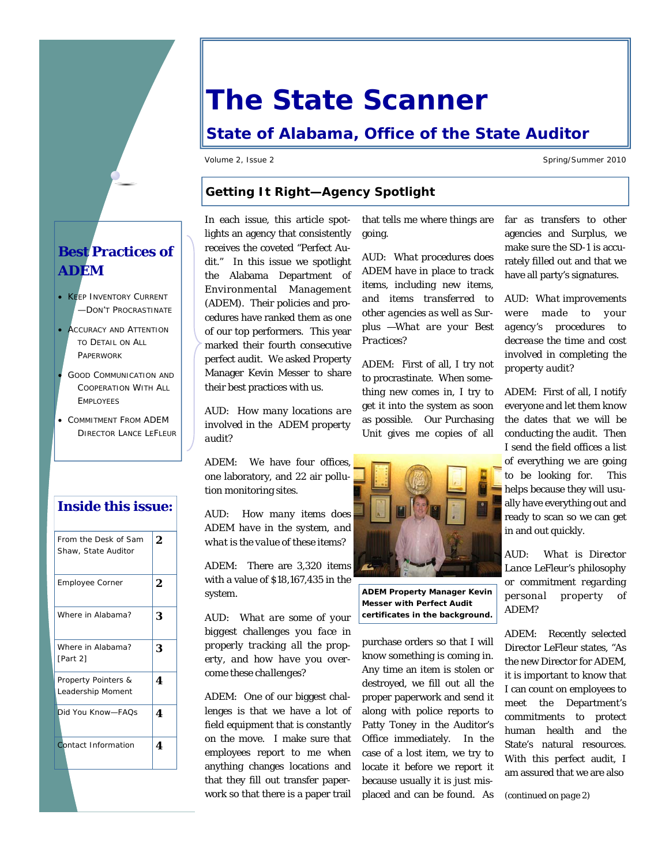## **The State Scanner**

### **State of Alabama, Office of the State Auditor**

Volume 2, Issue 2 Spring/Summer 2010

#### **Getting It Right—Agency Spotlight**

In each issue, this article spotlights an agency that consistently receives the coveted "Perfect Audit." In this issue we spotlight the Alabama Department of Environmental Management (ADEM). Their policies and procedures have ranked them as one of our top performers. This year marked their fourth consecutive perfect audit. We asked Property Manager Kevin Messer to share their best practices with us.

*AUD: How many locations are involved in the ADEM property audit?* 

ADEM: We have four offices, one laboratory, and 22 air pollution monitoring sites.

*AUD: How many items does ADEM have in the system, and what is the value of these items?* 

ADEM: There are 3,320 items with a value of \$18,167,435 in the system.

*AUD: What are some of your biggest challenges you face in properly tracking all the property, and how have you overcome these challenges?* 

ADEM: One of our biggest challenges is that we have a lot of field equipment that is constantly on the move. I make sure that employees report to me when anything changes locations and that they fill out transfer paperwork so that there is a paper trail

that tells me where things are going.

*AUD: What procedures does ADEM have in place to track items, including new items, and items transferred to other agencies as well as Surplus —What are your Best Practices?* 

ADEM: First of all, I try not to procrastinate. When something new comes in, I try to get it into the system as soon as possible. Our Purchasing Unit gives me copies of all



**ADEM Property Manager Kevin Messer with Perfect Audit certificates in the background.** 

purchase orders so that I will know something is coming in. Any time an item is stolen or destroyed, we fill out all the proper paperwork and send it along with police reports to Patty Toney in the Auditor's Office immediately. In the case of a lost item, we try to locate it before we report it because usually it is just misplaced and can be found. As

far as transfers to other agencies and Surplus, we make sure the SD-1 is accurately filled out and that we have all party's signatures.

*AUD: What improvements were made to your agency's procedures to decrease the time and cost involved in completing the property audit?* 

ADEM: First of all, I notify everyone and let them know the dates that we will be conducting the audit. Then I send the field offices a list of everything we are going to be looking for. This helps because they will usually have everything out and ready to scan so we can get in and out quickly.

*AUD: What is Director Lance LeFleur's philosophy or commitment regarding personal property of ADEM?* 

ADEM: Recently selected Director LeFleur states, "As the new Director for ADEM, it is important to know that I can count on employees to meet the Department's commitments to protect human health and the State's natural resources. With this perfect audit, I am assured that we are also

*(continued on page 2)*

#### **Best Practices of ADEM**

- **KEEP INVENTORY CURRENT** —DON'T PROCRASTINATE
- ACCURACY AND ATTENTION TO DETAIL ON ALL PAPERWORK
- GOOD COMMUNICATION AND COOPERATION WITH ALL EMPLOYEES
- COMMITMENT FROM ADEM DIRECTOR LANCE LEFLEUR

#### **Inside this issue:**

| From the Desk of Sam<br>Shaw, State Auditor | 2 |
|---------------------------------------------|---|
| <b>Employee Corner</b>                      | 2 |
| Where in Alabama?                           | 3 |
| Where in Alabama?<br>[Part 2]               | 3 |
| Property Pointers &<br>Leadership Moment    | 4 |
| Did You Know—FAOs                           | 4 |
| Contact Information                         | 4 |
|                                             |   |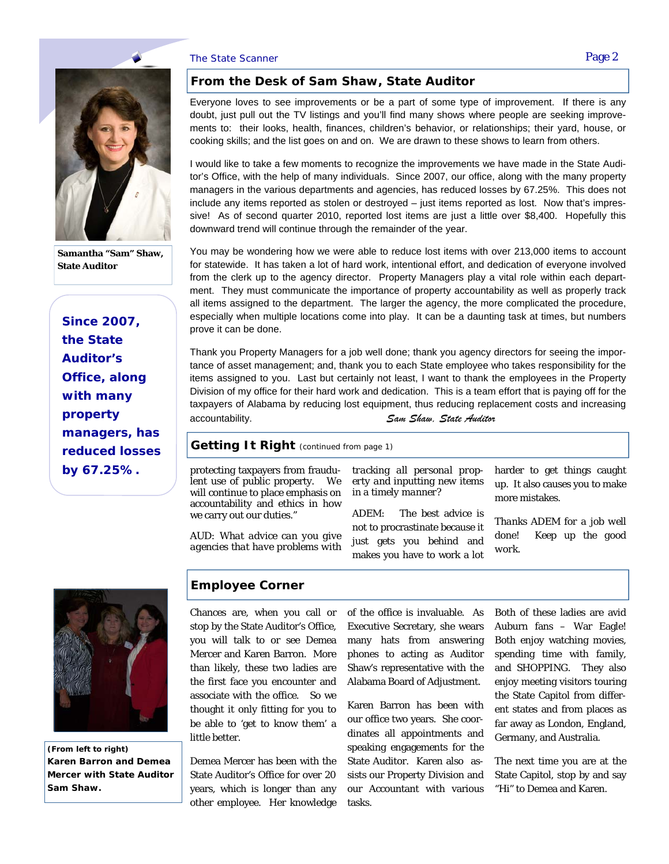#### The State Scanner **Page 2** and the State Scanner Page 2



**Samantha "Sam" Shaw, State Auditor** 

*Since 2007, the State Auditor's Office, along with many property managers, has reduced losses by 67.25%.* 

#### **From the Desk of Sam Shaw, State Auditor**

Everyone loves to see improvements or be a part of some type of improvement. If there is any doubt, just pull out the TV listings and you'll find many shows where people are seeking improvements to: their looks, health, finances, children's behavior, or relationships; their yard, house, or cooking skills; and the list goes on and on. We are drawn to these shows to learn from others.

I would like to take a few moments to recognize the improvements we have made in the State Auditor's Office, with the help of many individuals. Since 2007, our office, along with the many property managers in the various departments and agencies, has reduced losses by 67.25%. This does not include any items reported as stolen or destroyed – just items reported as lost. Now that's impressive! As of second quarter 2010, reported lost items are just a little over \$8,400. Hopefully this downward trend will continue through the remainder of the year.

You may be wondering how we were able to reduce lost items with over 213,000 items to account for statewide. It has taken a lot of hard work, intentional effort, and dedication of everyone involved from the clerk up to the agency director. Property Managers play a vital role within each department. They must communicate the importance of property accountability as well as properly track all items assigned to the department. The larger the agency, the more complicated the procedure, especially when multiple locations come into play. It can be a daunting task at times, but numbers prove it can be done.

Thank you Property Managers for a job well done; thank you agency directors for seeing the importance of asset management; and, thank you to each State employee who takes responsibility for the items assigned to you. Last but certainly not least, I want to thank the employees in the Property Division of my office for their hard work and dedication. This is a team effort that is paying off for the taxpayers of Alabama by reducing lost equipment, thus reducing replacement costs and increasing accountability. *Sam Shaw, State Auditor*

#### **Getting It Right** *(continued from page 1)*

protecting taxpayers from fraudulent use of public property. We will continue to place emphasis on accountability and ethics in how we carry out our duties."

*AUD: What advice can you give agencies that have problems with*  *tracking all personal property and inputting new items in a timely manner?* 

ADEM: The best advice is not to procrastinate because it just gets you behind and makes you have to work a lot harder to get things caught up. It also causes you to make more mistakes.

*Thanks ADEM for a job well done! Keep up the good work.* 



*(From left to right)*  **Karen Barron and Demea Mercer with State Auditor Sam Shaw.** 

#### **Employee Corner**

Chances are, when you call or stop by the State Auditor's Office, you will talk to or see Demea Mercer and Karen Barron. More than likely, these two ladies are the first face you encounter and associate with the office. So we thought it only fitting for you to be able to 'get to know them' a little better.

Demea Mercer has been with the State Auditor's Office for over 20 years, which is longer than any other employee. Her knowledge of the office is invaluable. As Executive Secretary, she wears many hats from answering phones to acting as Auditor Shaw's representative with the Alabama Board of Adjustment.

Karen Barron has been with our office two years. She coordinates all appointments and speaking engagements for the State Auditor. Karen also assists our Property Division and our Accountant with various tasks.

Both of these ladies are avid Auburn fans – War Eagle! Both enjoy watching movies, spending time with family, and SHOPPING. They also enjoy meeting visitors touring the State Capitol from different states and from places as far away as London, England, Germany, and Australia.

The next time you are at the State Capitol, stop by and say "Hi" to Demea and Karen.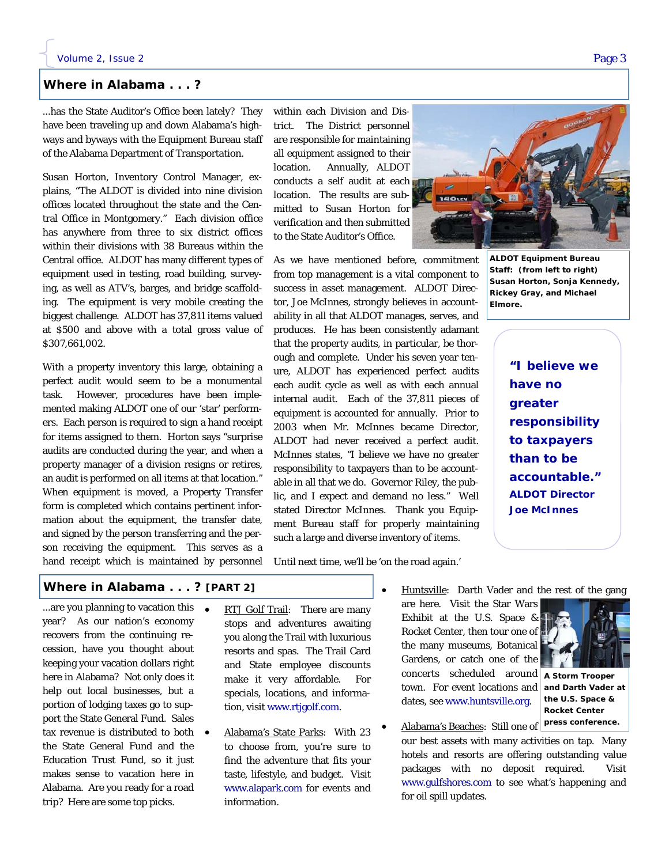#### **Where in Alabama . . . ?**

...has the State Auditor's Office been lately? They have been traveling up and down Alabama's highways and byways with the Equipment Bureau staff of the Alabama Department of Transportation.

Susan Horton, Inventory Control Manager, explains, "The ALDOT is divided into nine division offices located throughout the state and the Central Office in Montgomery." Each division office has anywhere from three to six district offices within their divisions with 38 Bureaus within the Central office. ALDOT has many different types of equipment used in testing, road building, surveying, as well as ATV's, barges, and bridge scaffolding. The equipment is very mobile creating the biggest challenge. ALDOT has 37,811 items valued at \$500 and above with a total gross value of \$307,661,002.

With a property inventory this large, obtaining a perfect audit would seem to be a monumental task. However, procedures have been implemented making ALDOT one of our 'star' performers. Each person is required to sign a hand receipt for items assigned to them. Horton says "surprise audits are conducted during the year, and when a property manager of a division resigns or retires, an audit is performed on all items at that location." When equipment is moved, a Property Transfer form is completed which contains pertinent information about the equipment, the transfer date, and signed by the person transferring and the person receiving the equipment. This serves as a hand receipt which is maintained by personnel within each Division and District. The District personnel are responsible for maintaining all equipment assigned to their location. Annually, ALDOT conducts a self audit at each location. The results are submitted to Susan Horton for verification and then submitted to the State Auditor's Office.

As we have mentioned before, commitment from top management is a vital component to success in asset management. ALDOT Director, Joe McInnes, strongly believes in accountability in all that ALDOT manages, serves, and produces. He has been consistently adamant that the property audits, in particular, be thorough and complete. Under his seven year tenure, ALDOT has experienced perfect audits each audit cycle as well as with each annual internal audit. Each of the 37,811 pieces of equipment is accounted for annually. Prior to 2003 when Mr. McInnes became Director, ALDOT had never received a perfect audit. McInnes states, "I believe we have no greater responsibility to taxpayers than to be accountable in all that we do. Governor Riley, the public, and I expect and demand no less." Well stated Director McInnes. Thank you Equipment Bureau staff for properly maintaining such a large and diverse inventory of items.

**ALDOT Equipment Bureau Staff:** *(from left to right)*  **Susan Horton, Sonja Kennedy, Rickey Gray, and Michael Elmore.** 

> *"I believe we have no greater responsibility to taxpayers than to be accountable." ALDOT Director Joe McInnes*

Until next time, we'll be 'on the road again.'

#### **Where in Alabama . . . ? [PART 2]**

...are you planning to vacation this • year? As our nation's economy recovers from the continuing recession, have you thought about keeping your vacation dollars right here in Alabama? Not only does it help out local businesses, but a portion of lodging taxes go to support the State General Fund. Sales tax revenue is distributed to both the State General Fund and the Education Trust Fund, so it just makes sense to vacation here in Alabama. Are you ready for a road trip? Here are some top picks.

- RTJ Golf Trail: There are many stops and adventures awaiting you along the Trail with luxurious resorts and spas. The Trail Card and State employee discounts make it very affordable. For specials, locations, and information, visit www.rtjgolf.com.
- Alabama's State Parks: With 23 to choose from, you're sure to find the adventure that fits your taste, lifestyle, and budget. Visit www.alapark.com for events and information.
- are here. Visit the Star Wars Exhibit at the U.S. Space & Rocket Center, then tour one of the many museums, Botanical Gardens, or catch one of the concerts scheduled around **A Storm Trooper**  town. For event locations and dates, see www.huntsville.org.



**and Darth Vader at the U.S. Space & Rocket Center press conference.** 

 Alabama's Beaches: Still one of our best assets with many activities on tap. Many hotels and resorts are offering outstanding value packages with no deposit required. Visit www.gulfshores.com to see what's happening and for oil spill updates.

Huntsville: Darth Vader and the rest of the gang